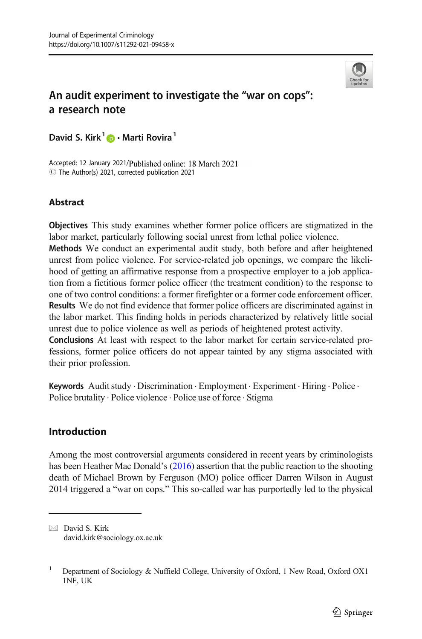

# An audit experiment to investigate the "war on cops": a research note

David S. Kirk<sup>1</sup>  $\bullet$  · Marti Rovira<sup>1</sup>

Accepted: 12 January 2021/Published online: 18 March 2021  $\odot$  The Author(s) 2021, corrected publication 2021

### **Abstract**

Objectives This study examines whether former police officers are stigmatized in the labor market, particularly following social unrest from lethal police violence.

Methods We conduct an experimental audit study, both before and after heightened unrest from police violence. For service-related job openings, we compare the likelihood of getting an affirmative response from a prospective employer to a job application from a fictitious former police officer (the treatment condition) to the response to one of two control conditions: a former firefighter or a former code enforcement officer. Results We do not find evidence that former police officers are discriminated against in the labor market. This finding holds in periods characterized by relatively little social unrest due to police violence as well as periods of heightened protest activity.

Conclusions At least with respect to the labor market for certain service-related professions, former police officers do not appear tainted by any stigma associated with their prior profession.

Keywords Audit study . Discrimination . Employment . Experiment . Hiring . Police . Police brutality . Police violence . Police use of force . Stigma

# Introduction

Among the most controversial arguments considered in recent years by criminologists has been Heather Mac Donald's ([2016](#page-11-0)) assertion that the public reaction to the shooting death of Michael Brown by Ferguson (MO) police officer Darren Wilson in August 2014 triggered a "war on cops." This so-called war has purportedly led to the physical

 $\boxtimes$  David S. Kirk [david.kirk@sociology.ox.ac.uk](mailto:david.kirk@sociology.ox.ac.uk)

<sup>&</sup>lt;sup>1</sup> Department of Sociology & Nuffield College, University of Oxford, 1 New Road, Oxford OX1 1NF, UK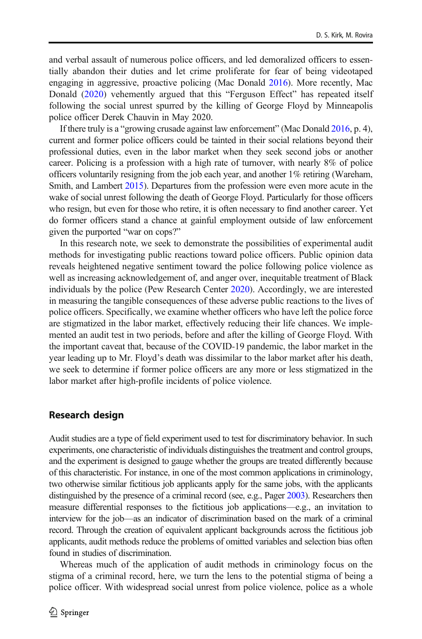and verbal assault of numerous police officers, and led demoralized officers to essentially abandon their duties and let crime proliferate for fear of being videotaped engaging in aggressive, proactive policing (Mac Donald [2016\)](#page-11-0). More recently, Mac Donald ([2020\)](#page-11-0) vehemently argued that this "Ferguson Effect" has repeated itself following the social unrest spurred by the killing of George Floyd by Minneapolis police officer Derek Chauvin in May 2020.

If there truly is a "growing crusade against law enforcement" (Mac Donald [2016](#page-11-0), p. 4), current and former police officers could be tainted in their social relations beyond their professional duties, even in the labor market when they seek second jobs or another career. Policing is a profession with a high rate of turnover, with nearly 8% of police officers voluntarily resigning from the job each year, and another 1% retiring (Wareham, Smith, and Lambert [2015\)](#page-11-0). Departures from the profession were even more acute in the wake of social unrest following the death of George Floyd. Particularly for those officers who resign, but even for those who retire, it is often necessary to find another career. Yet do former officers stand a chance at gainful employment outside of law enforcement given the purported "war on cops?"

In this research note, we seek to demonstrate the possibilities of experimental audit methods for investigating public reactions toward police officers. Public opinion data reveals heightened negative sentiment toward the police following police violence as well as increasing acknowledgement of, and anger over, inequitable treatment of Black individuals by the police (Pew Research Center [2020\)](#page-11-0). Accordingly, we are interested in measuring the tangible consequences of these adverse public reactions to the lives of police officers. Specifically, we examine whether officers who have left the police force are stigmatized in the labor market, effectively reducing their life chances. We implemented an audit test in two periods, before and after the killing of George Floyd. With the important caveat that, because of the COVID-19 pandemic, the labor market in the year leading up to Mr. Floyd's death was dissimilar to the labor market after his death, we seek to determine if former police officers are any more or less stigmatized in the labor market after high-profile incidents of police violence.

### Research design

Audit studies are a type of field experiment used to test for discriminatory behavior. In such experiments, one characteristic of individuals distinguishes the treatment and control groups, and the experiment is designed to gauge whether the groups are treated differently because of this characteristic. For instance, in one of the most common applications in criminology, two otherwise similar fictitious job applicants apply for the same jobs, with the applicants distinguished by the presence of a criminal record (see, e.g., Pager [2003\)](#page-11-0). Researchers then measure differential responses to the fictitious job applications—e.g., an invitation to interview for the job—as an indicator of discrimination based on the mark of a criminal record. Through the creation of equivalent applicant backgrounds across the fictitious job applicants, audit methods reduce the problems of omitted variables and selection bias often found in studies of discrimination.

Whereas much of the application of audit methods in criminology focus on the stigma of a criminal record, here, we turn the lens to the potential stigma of being a police officer. With widespread social unrest from police violence, police as a whole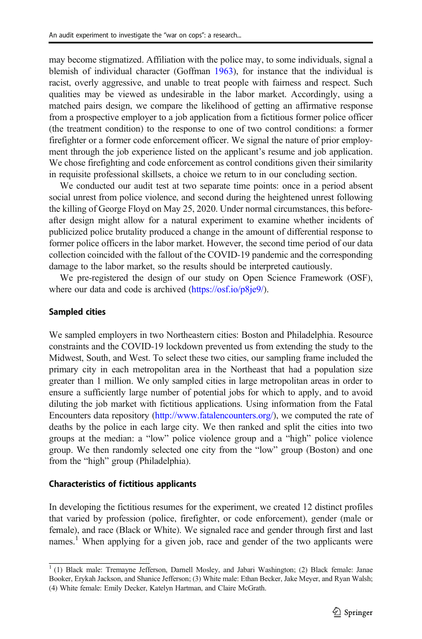may become stigmatized. Affiliation with the police may, to some individuals, signal a blemish of individual character (Goffman [1963\)](#page-11-0), for instance that the individual is racist, overly aggressive, and unable to treat people with fairness and respect. Such qualities may be viewed as undesirable in the labor market. Accordingly, using a matched pairs design, we compare the likelihood of getting an affirmative response from a prospective employer to a job application from a fictitious former police officer (the treatment condition) to the response to one of two control conditions: a former firefighter or a former code enforcement officer. We signal the nature of prior employment through the job experience listed on the applicant's resume and job application. We chose firefighting and code enforcement as control conditions given their similarity in requisite professional skillsets, a choice we return to in our concluding section.

We conducted our audit test at two separate time points: once in a period absent social unrest from police violence, and second during the heightened unrest following the killing of George Floyd on May 25, 2020. Under normal circumstances, this beforeafter design might allow for a natural experiment to examine whether incidents of publicized police brutality produced a change in the amount of differential response to former police officers in the labor market. However, the second time period of our data collection coincided with the fallout of the COVID-19 pandemic and the corresponding damage to the labor market, so the results should be interpreted cautiously.

We pre-registered the design of our study on Open Science Framework (OSF), where our data and code is archived ([https://osf.io/p8je9/\)](https://www.osf.io/p8je9/).

#### Sampled cities

We sampled employers in two Northeastern cities: Boston and Philadelphia. Resource constraints and the COVID-19 lockdown prevented us from extending the study to the Midwest, South, and West. To select these two cities, our sampling frame included the primary city in each metropolitan area in the Northeast that had a population size greater than 1 million. We only sampled cities in large metropolitan areas in order to ensure a sufficiently large number of potential jobs for which to apply, and to avoid diluting the job market with fictitious applications. Using information from the Fatal Encounters data repository [\(http://www.fatalencounters.org/](http://www.fatalencounters.org/)), we computed the rate of deaths by the police in each large city. We then ranked and split the cities into two groups at the median: a "low" police violence group and a "high" police violence group. We then randomly selected one city from the "low" group (Boston) and one from the "high" group (Philadelphia).

### Characteristics of fictitious applicants

In developing the fictitious resumes for the experiment, we created 12 distinct profiles that varied by profession (police, firefighter, or code enforcement), gender (male or female), and race (Black or White). We signaled race and gender through first and last names.<sup>1</sup> When applying for a given job, race and gender of the two applicants were

 $1$  (1) Black male: Tremayne Jefferson, Darnell Mosley, and Jabari Washington; (2) Black female: Janae Booker, Erykah Jackson, and Shanice Jefferson; (3) White male: Ethan Becker, Jake Meyer, and Ryan Walsh; (4) White female: Emily Decker, Katelyn Hartman, and Claire McGrath.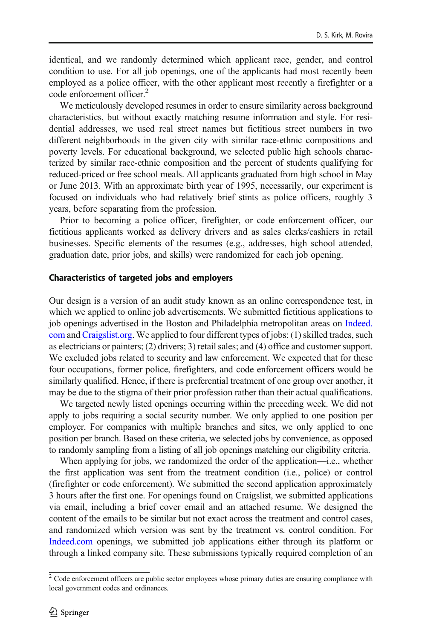identical, and we randomly determined which applicant race, gender, and control condition to use. For all job openings, one of the applicants had most recently been employed as a police officer, with the other applicant most recently a firefighter or a code enforcement officer.<sup>2</sup>

We meticulously developed resumes in order to ensure similarity across background characteristics, but without exactly matching resume information and style. For residential addresses, we used real street names but fictitious street numbers in two different neighborhoods in the given city with similar race-ethnic compositions and poverty levels. For educational background, we selected public high schools characterized by similar race-ethnic composition and the percent of students qualifying for reduced-priced or free school meals. All applicants graduated from high school in May or June 2013. With an approximate birth year of 1995, necessarily, our experiment is focused on individuals who had relatively brief stints as police officers, roughly 3 years, before separating from the profession.

Prior to becoming a police officer, firefighter, or code enforcement officer, our fictitious applicants worked as delivery drivers and as sales clerks/cashiers in retail businesses. Specific elements of the resumes (e.g., addresses, high school attended, graduation date, prior jobs, and skills) were randomized for each job opening.

#### Characteristics of targeted jobs and employers

Our design is a version of an audit study known as an online correspondence test, in which we applied to online job advertisements. We submitted fictitious applications to job openings advertised in the Boston and Philadelphia metropolitan areas on [Indeed.](http://indeed.com) [com](http://indeed.com) and [Craigslist.org.](http://craigslist.org) We applied to four different types of jobs: (1) skilled trades, such as electricians or painters; (2) drivers; 3) retail sales; and (4) office and customer support. We excluded jobs related to security and law enforcement. We expected that for these four occupations, former police, firefighters, and code enforcement officers would be similarly qualified. Hence, if there is preferential treatment of one group over another, it may be due to the stigma of their prior profession rather than their actual qualifications.

We targeted newly listed openings occurring within the preceding week. We did not apply to jobs requiring a social security number. We only applied to one position per employer. For companies with multiple branches and sites, we only applied to one position per branch. Based on these criteria, we selected jobs by convenience, as opposed to randomly sampling from a listing of all job openings matching our eligibility criteria.

When applying for jobs, we randomized the order of the application—i.e., whether the first application was sent from the treatment condition (i.e., police) or control (firefighter or code enforcement). We submitted the second application approximately 3 hours after the first one. For openings found on Craigslist, we submitted applications via email, including a brief cover email and an attached resume. We designed the content of the emails to be similar but not exact across the treatment and control cases, and randomized which version was sent by the treatment vs. control condition. For [Indeed.com](http://indeed.com) openings, we submitted job applications either through its platform or through a linked company site. These submissions typically required completion of an

 $2^2$  Code enforcement officers are public sector employees whose primary duties are ensuring compliance with local government codes and ordinances.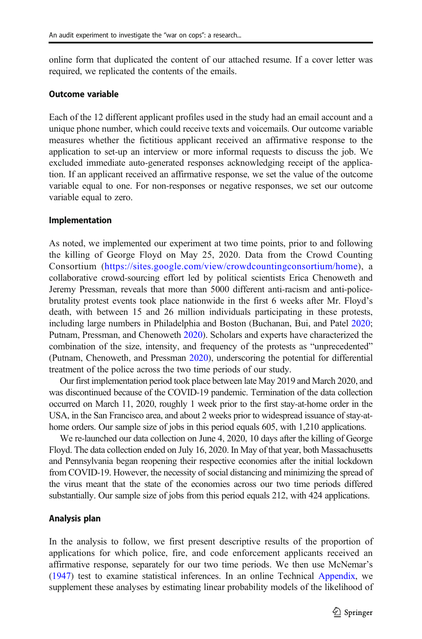online form that duplicated the content of our attached resume. If a cover letter was required, we replicated the contents of the emails.

### Outcome variable

Each of the 12 different applicant profiles used in the study had an email account and a unique phone number, which could receive texts and voicemails. Our outcome variable measures whether the fictitious applicant received an affirmative response to the application to set-up an interview or more informal requests to discuss the job. We excluded immediate auto-generated responses acknowledging receipt of the application. If an applicant received an affirmative response, we set the value of the outcome variable equal to one. For non-responses or negative responses, we set our outcome variable equal to zero.

#### Implementation

As noted, we implemented our experiment at two time points, prior to and following the killing of George Floyd on May 25, 2020. Data from the Crowd Counting Consortium ([https://sites.google.com/view/crowdcountingconsortium/home\)](https://sites.google.com/view/crowdcountingconsortium/home), a collaborative crowd-sourcing effort led by political scientists Erica Chenoweth and Jeremy Pressman, reveals that more than 5000 different anti-racism and anti-policebrutality protest events took place nationwide in the first 6 weeks after Mr. Floyd's death, with between 15 and 26 million individuals participating in these protests, including large numbers in Philadelphia and Boston (Buchanan, Bui, and Patel [2020;](#page-11-0) Putnam, Pressman, and Chenoweth [2020\)](#page-11-0). Scholars and experts have characterized the combination of the size, intensity, and frequency of the protests as "unprecedented" (Putnam, Chenoweth, and Pressman [2020\)](#page-11-0), underscoring the potential for differential treatment of the police across the two time periods of our study.

Our first implementation period took place between late May 2019 and March 2020, and was discontinued because of the COVID-19 pandemic. Termination of the data collection occurred on March 11, 2020, roughly 1 week prior to the first stay-at-home order in the USA, in the San Francisco area, and about 2 weeks prior to widespread issuance of stay-athome orders. Our sample size of jobs in this period equals 605, with 1,210 applications.

We re-launched our data collection on June 4, 2020, 10 days after the killing of George Floyd. The data collection ended on July 16, 2020. In May of that year, both Massachusetts and Pennsylvania began reopening their respective economies after the initial lockdown from COVID-19. However, the necessity of social distancing and minimizing the spread of the virus meant that the state of the economies across our two time periods differed substantially. Our sample size of jobs from this period equals 212, with 424 applications.

#### Analysis plan

In the analysis to follow, we first present descriptive results of the proportion of applications for which police, fire, and code enforcement applicants received an affirmative response, separately for our two time periods. We then use McNemar's [\(1947\)](#page-11-0) test to examine statistical inferences. In an online Technical Appendix, we supplement these analyses by estimating linear probability models of the likelihood of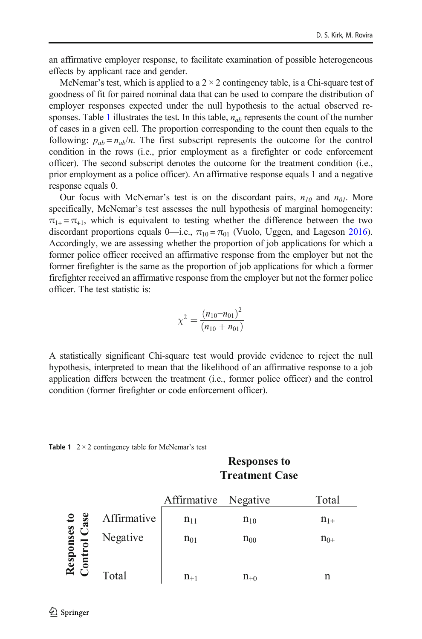an affirmative employer response, to facilitate examination of possible heterogeneous effects by applicant race and gender.

McNemar's test, which is applied to a  $2 \times 2$  contingency table, is a Chi-square test of goodness of fit for paired nominal data that can be used to compare the distribution of employer responses expected under the null hypothesis to the actual observed responses. Table 1 illustrates the test. In this table,  $n_{ab}$  represents the count of the number of cases in a given cell. The proportion corresponding to the count then equals to the following:  $p_{ab} = n_{ab}/n$ . The first subscript represents the outcome for the control condition in the rows (i.e., prior employment as a firefighter or code enforcement officer). The second subscript denotes the outcome for the treatment condition (i.e., prior employment as a police officer). An affirmative response equals 1 and a negative response equals 0.

Our focus with McNemar's test is on the discordant pairs,  $n_{10}$  and  $n_{01}$ . More specifically, McNemar's test assesses the null hypothesis of marginal homogeneity:  $\pi_{1+} = \pi_{+1}$ , which is equivalent to testing whether the difference between the two discordant proportions equals 0—i.e.,  $\pi_{10} = \pi_{01}$  (Vuolo, Uggen, and Lageson [2016\)](#page-11-0). Accordingly, we are assessing whether the proportion of job applications for which a former police officer received an affirmative response from the employer but not the former firefighter is the same as the proportion of job applications for which a former firefighter received an affirmative response from the employer but not the former police officer. The test statistic is:

$$
\chi^2 = \frac{(n_{10} - n_{01})^2}{(n_{10} + n_{01})}
$$

A statistically significant Chi-square test would provide evidence to reject the null hypothesis, interpreted to mean that the likelihood of an affirmative response to a job application differs between the treatment (i.e., former police officer) and the control condition (former firefighter or code enforcement officer).

|  |  |  |  | <b>Table 1</b> $2 \times 2$ contingency table for McNemar's test |  |
|--|--|--|--|------------------------------------------------------------------|--|
|--|--|--|--|------------------------------------------------------------------|--|

**Responses to Treatment Case**

|                                     |             | Affirmative | Negative | Total    |
|-------------------------------------|-------------|-------------|----------|----------|
|                                     | Affirmative | $n_{11}$    | $n_{10}$ | $n_{1+}$ |
| <b>Responses to</b><br>Control Case | Negative    | $n_{01}$    | $n_{00}$ | $n_{0+}$ |
|                                     | Total       | $n_{+1}$    | $n_{+0}$ | n        |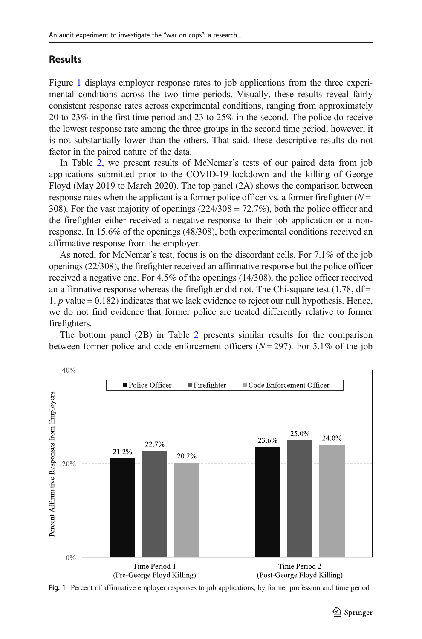### **Results**

Figure 1 displays employer response rates to job applications from the three experimental conditions across the two time periods. Visually, these results reveal fairly consistent response rates across experimental conditions, ranging from approximately 20 to 23% in the first time period and 23 to 25% in the second. The police do receive the lowest response rate among the three groups in the second time period; however, it is not substantially lower than the others. That said, these descriptive results do not factor in the paired nature of the data.

In Table [2,](#page-7-0) we present results of McNemar's tests of our paired data from job applications submitted prior to the COVID-19 lockdown and the killing of George Floyd (May 2019 to March 2020). The top panel (2A) shows the comparison between response rates when the applicant is a former police officer vs. a former firefighter  $(N =$ 308). For the vast majority of openings  $(224/308 = 72.7\%)$ , both the police officer and the firefighter either received a negative response to their job application or a nonresponse. In 15.6% of the openings (48/308), both experimental conditions received an affirmative response from the employer.

As noted, for McNemar's test, focus is on the discordant cells. For 7.1% of the job openings (22/308), the firefighter received an affirmative response but the police officer received a negative one. For 4.5% of the openings (14/308), the police officer received an affirmative response whereas the firefighter did not. The Chi-square test  $(1.78, df =$ 1, p value = 0.182) indicates that we lack evidence to reject our null hypothesis. Hence, we do not find evidence that former police are treated differently relative to former firefighters.

The bottom panel (2B) in Table [2](#page-7-0) presents similar results for the comparison between former police and code enforcement officers  $(N = 297)$ . For 5.1% of the job



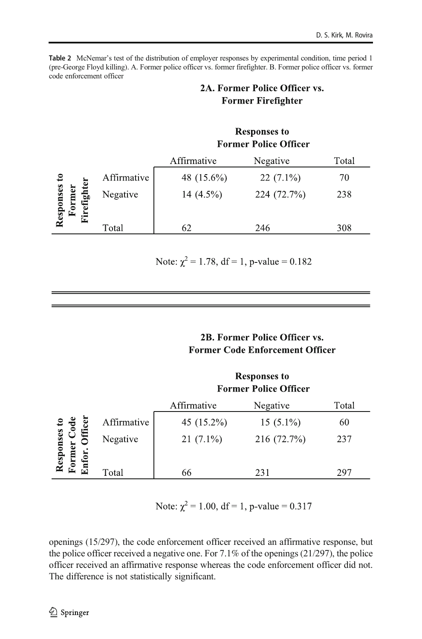<span id="page-7-0"></span>Table 2 McNemar's test of the distribution of employer responses by experimental condition, time period 1 (pre-George Floyd killing). A. Former police officer vs. former firefighter. B. Former police officer vs. former code enforcement officer

# 2A. Former Police Officer vs. **Former Firefighter**

|                     |             | <b>Responses to</b><br><b>Former Police Officer</b> |             |       |
|---------------------|-------------|-----------------------------------------------------|-------------|-------|
|                     |             | Affirmative                                         | Negative    | Total |
|                     | Affirmative | 48 (15.6%)                                          | $22(7.1\%)$ | 70    |
| esponses<br>ವ<br>r۰ | Negative    | 14 (4.5%)                                           | 224 (72.7%) | 238   |
|                     | Total       | 62                                                  | 246         | 308   |

Note:  $\chi^2 = 1.78$ , df = 1, p-value = 0.182

# 2B. Former Police Officer vs. **Former Code Enforcement Officer**

|                                |             | <b>Responses to</b><br><b>Former Police Officer</b> |             |       |
|--------------------------------|-------------|-----------------------------------------------------|-------------|-------|
|                                |             | Affirmative                                         | Negative    | Total |
| fficer                         | Affirmative | 45 (15.2%)                                          | $15(5.1\%)$ | 60    |
| esponses to<br>ormer Code<br>ݠ | Negative    | $21(7.1\%)$                                         | 216 (72.7%) | 237   |
| œ                              | Total       | 66                                                  | 231         | 297   |

Note:  $\chi^2$  = 1.00, df = 1, p-value = 0.317

openings (15/297), the code enforcement officer received an affirmative response, but the police officer received a negative one. For 7.1% of the openings (21/297), the police officer received an affirmative response whereas the code enforcement officer did not. The difference is not statistically significant.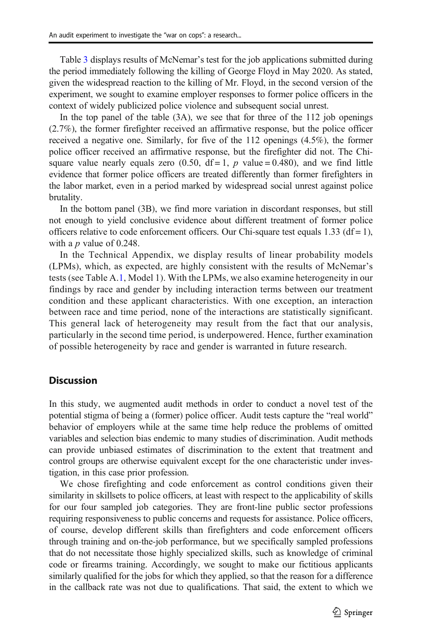Table [3](#page-9-0) displays results of McNemar's test for the job applications submitted during the period immediately following the killing of George Floyd in May 2020. As stated, given the widespread reaction to the killing of Mr. Floyd, in the second version of the experiment, we sought to examine employer responses to former police officers in the context of widely publicized police violence and subsequent social unrest.

In the top panel of the table (3A), we see that for three of the 112 job openings (2.7%), the former firefighter received an affirmative response, but the police officer received a negative one. Similarly, for five of the 112 openings (4.5%), the former police officer received an affirmative response, but the firefighter did not. The Chisquare value nearly equals zero (0.50,  $df = 1$ , p value = 0.480), and we find little evidence that former police officers are treated differently than former firefighters in the labor market, even in a period marked by widespread social unrest against police brutality.

In the bottom panel (3B), we find more variation in discordant responses, but still not enough to yield conclusive evidence about different treatment of former police officers relative to code enforcement officers. Our Chi-square test equals  $1.33$  (df = 1), with a  $p$  value of 0.248.

In the Technical Appendix, we display results of linear probability models (LPMs), which, as expected, are highly consistent with the results of McNemar's tests (see Table A.1, Model 1). With the LPMs, we also examine heterogeneity in our findings by race and gender by including interaction terms between our treatment condition and these applicant characteristics. With one exception, an interaction between race and time period, none of the interactions are statistically significant. This general lack of heterogeneity may result from the fact that our analysis, particularly in the second time period, is underpowered. Hence, further examination of possible heterogeneity by race and gender is warranted in future research.

### **Discussion**

In this study, we augmented audit methods in order to conduct a novel test of the potential stigma of being a (former) police officer. Audit tests capture the "real world" behavior of employers while at the same time help reduce the problems of omitted variables and selection bias endemic to many studies of discrimination. Audit methods can provide unbiased estimates of discrimination to the extent that treatment and control groups are otherwise equivalent except for the one characteristic under investigation, in this case prior profession.

We chose firefighting and code enforcement as control conditions given their similarity in skillsets to police officers, at least with respect to the applicability of skills for our four sampled job categories. They are front-line public sector professions requiring responsiveness to public concerns and requests for assistance. Police officers, of course, develop different skills than firefighters and code enforcement officers through training and on-the-job performance, but we specifically sampled professions that do not necessitate those highly specialized skills, such as knowledge of criminal code or firearms training. Accordingly, we sought to make our fictitious applicants similarly qualified for the jobs for which they applied, so that the reason for a difference in the callback rate was not due to qualifications. That said, the extent to which we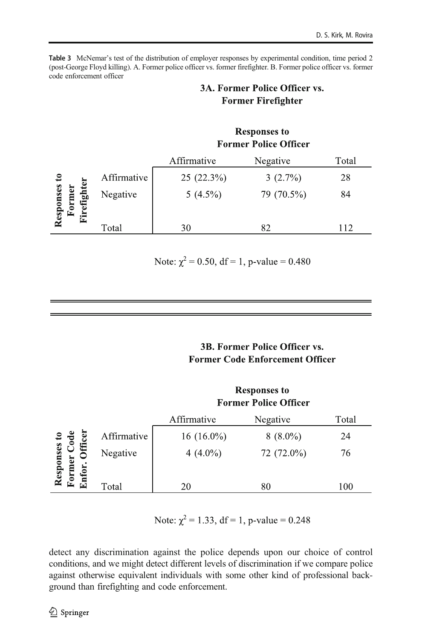<span id="page-9-0"></span>Table 3 McNemar's test of the distribution of employer responses by experimental condition, time period 2 (post-George Floyd killing). A. Former police officer vs. former firefighter. B. Former police officer vs. former code enforcement officer

# 3A. Former Police Officer vs. **Former Firefighter**

|                     |             | <b>Responses to</b><br><b>Former Police Officer</b> |            |       |
|---------------------|-------------|-----------------------------------------------------|------------|-------|
|                     |             | Affirmative                                         | Negative   | Total |
|                     | Affirmative | 25 (22.3%)                                          | $3(2.7\%)$ | 28    |
| esponses<br>믬<br>Ŀ. | Negative    | $5(4.5\%)$                                          | 79 (70.5%) | 84    |
|                     | Total       | 30                                                  | 82         | 112   |

Note:  $\chi^2 = 0.50$ , df = 1, p-value = 0.480

# **3B. Former Police Officer vs. Former Code Enforcement Officer**

### **Responses to Former Police Officer**

|                      |             | Affirmative  | Negative   | Total |
|----------------------|-------------|--------------|------------|-------|
| ises to<br>Code<br>ē | Affirmative | $16(16.0\%)$ | $8(8.0\%)$ | 24    |
| €<br>බ               | Negative    | 4 $(4.0\%)$  | 72 (72.0%) | 76    |
| 8                    |             |              |            |       |
| œ                    | Total       | 20           | 80         | 100   |

Note:  $\chi^2 = 1.33$ , df = 1, p-value = 0.248

detect any discrimination against the police depends upon our choice of control conditions, and we might detect different levels of discrimination if we compare police against otherwise equivalent individuals with some other kind of professional background than firefighting and code enforcement.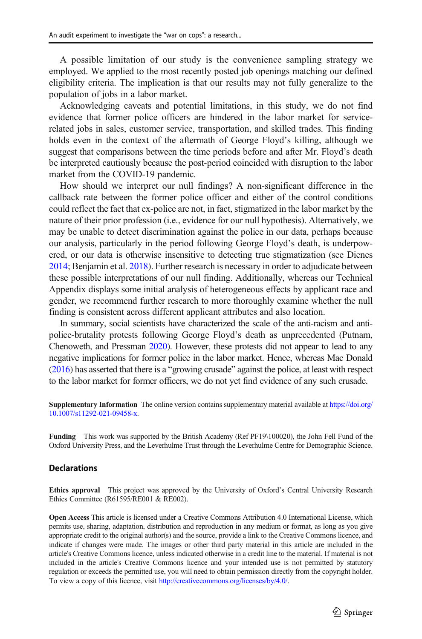A possible limitation of our study is the convenience sampling strategy we employed. We applied to the most recently posted job openings matching our defined eligibility criteria. The implication is that our results may not fully generalize to the population of jobs in a labor market.

Acknowledging caveats and potential limitations, in this study, we do not find evidence that former police officers are hindered in the labor market for servicerelated jobs in sales, customer service, transportation, and skilled trades. This finding holds even in the context of the aftermath of George Floyd's killing, although we suggest that comparisons between the time periods before and after Mr. Floyd's death be interpreted cautiously because the post-period coincided with disruption to the labor market from the COVID-19 pandemic.

How should we interpret our null findings? A non-significant difference in the callback rate between the former police officer and either of the control conditions could reflect the fact that ex-police are not, in fact, stigmatized in the labor market by the nature of their prior profession (i.e., evidence for our null hypothesis). Alternatively, we may be unable to detect discrimination against the police in our data, perhaps because our analysis, particularly in the period following George Floyd's death, is underpowered, or our data is otherwise insensitive to detecting true stigmatization (see Dienes [2014;](#page-11-0) Benjamin et al. [2018](#page-11-0)). Further research is necessary in order to adjudicate between these possible interpretations of our null finding. Additionally, whereas our Technical Appendix displays some initial analysis of heterogeneous effects by applicant race and gender, we recommend further research to more thoroughly examine whether the null finding is consistent across different applicant attributes and also location.

In summary, social scientists have characterized the scale of the anti-racism and antipolice-brutality protests following George Floyd's death as unprecedented (Putnam, Chenoweth, and Pressman [2020](#page-11-0)). However, these protests did not appear to lead to any negative implications for former police in the labor market. Hence, whereas Mac Donald [\(2016\)](#page-11-0) has asserted that there is a "growing crusade" against the police, at least with respect to the labor market for former officers, we do not yet find evidence of any such crusade.

Supplementary Information The online version contains supplementary material available at [https://doi.org/](https://doi.org/10.1007/s11292-021-09458-x) [10.1007/s11292-021-09458-x.](https://doi.org/10.1007/s11292-021-09458-x)

Funding This work was supported by the British Academy (Ref PF19\100020), the John Fell Fund of the Oxford University Press, and the Leverhulme Trust through the Leverhulme Centre for Demographic Science.

#### **Declarations**

Ethics approval This project was approved by the University of Oxford's Central University Research Ethics Committee (R61595/RE001 & RE002).

Open Access This article is licensed under a Creative Commons Attribution 4.0 International License, which permits use, sharing, adaptation, distribution and reproduction in any medium or format, as long as you give appropriate credit to the original author(s) and the source, provide a link to the Creative Commons licence, and indicate if changes were made. The images or other third party material in this article are included in the article's Creative Commons licence, unless indicated otherwise in a credit line to the material. If material is not included in the article's Creative Commons licence and your intended use is not permitted by statutory regulation or exceeds the permitted use, you will need to obtain permission directly from the copyright holder. To view a copy of this licence, visit [http://creativecommons.org/licenses/by/4.0/](https://doi.org/).